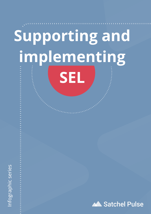# **Supporting and implementing SEL**

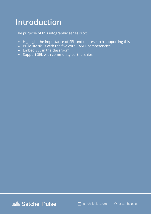### **Introduction**

The purpose of this infographic series is to:

- Highlight the importance of SEL and the research supporting this
- Build life skills with the five core CASEL competencies
- Embed SEL in the classroom
- Support SEL with community partnerships



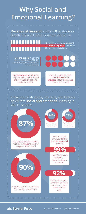



# **Why Social and Emotional Learning?**

**Decades of research** confirm that students benefit from SEL both in school and in life.

A majority of students, teachers, and families agree that **social and emotional** learning is vital in schools.

**Increased well-being** up to 18 years later and decreased the likelihood of receiving public assistance.

Students managed stress and **improved** their **attitudes** about themselves, others, and school.





#### **Satchel Pulse**

**6 of the top 10** in-demand career skills involve SEL, like complex problem solving and critical thinking

<u> ANTI HITILI S</u>

. . .



Students' academics **increased 11 percentile points** compared to students without SEL.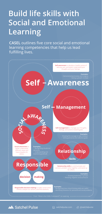# **Build life skills with Social and Emotional Learning**

**CASEL** outlines five core social and emotional learning competencies that help us lead fulfilling lives.

> **Self-awareness** to develop a healthy sense of who you are, and better understand your thoughts and your feelings.

## **Self Awareness**

**Self** + Management

**Examples:** • Demonstrating honesty and integrity • Having a growth mindset

**C E Self-management** to manage your thoughts, **SO SS** feelings, and actions towards goals. **Examples:** • Showing the courage to take initiative  $\cdot$  Setting personal and collective goals **Examples: Social awareness** to better understand • Recognizing situational **demands Relationshipped Relationship** different views and demands • Understanding and have empathy for others. ومعاناتهم **Skills Responsible Relationship skills** to communicate and connect, problem solve together, and stand up for others. **Examples:** • Showing leadership in groups **decision - making** • Resisting negative social pressure **Examples: Responsible decision-making** to make constructive • Recognizing how critical thinking skills are useful choices, analyze our actions, and find solutions. • Identifying solutions for personal and social problems

International oriental From: "What is the CASEL Framework?" on casel.org in international international



**□** satchelpulse.com 心 @satchelpulse

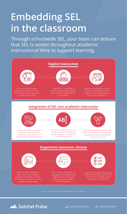

والمواصل والمواصل والمواصل والموارد

# **Embedding SEL in the classroom**

Through schoolwide SEL, your team can ensure that SEL is woven throughout academic instructional time to support learning.

From: "What is the CASEL Framework?" on casel.org

ويناهبه والمناسبة والمناسبة والمنا



Facilitate class meetings or other community-building activities to cultivate a culture of personal connection, mutual support, and belonging.



Teach, model, and reinforce language and strategies that help students to express empathy, resolve conflicts, and self-regulate.

Check-in with your students and follow up with them about their perspectives, thoughts, and if they have any concerns.

 $\boldsymbol{\mathsf{Z}}$ 

#### **Supportive classroom climate**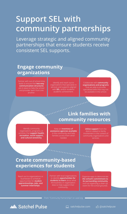## **Support SEL with community partnerships**

Leverage strategic and aligned community partnerships that ensure students receive consistent SEL supports.

#### **Engage community organizations**

Partner with out-of-school-time leads to ensure that **two-way communication structures** are in place to help the school and provider learn from one another.

# **Link families with community resources**

Identify and reach out to organizations that specialize in services and supports aligned with **SEL**, and/or students' academic achievement.

Collaborate with **community organizations and programs** that are able to provide specialized skills that may not be available in the school.

Identify community organizations, programs, or activities that **support health, recreation, social support, and cultural sensitivity**.

Keep an **inventory of assistance agencies available** in the community and help families access them when needed.

**Utilize support** from the district related to family involvement in the context of community organizations and services.

## **Create community-based experiences for students**

Reach out to organizations or businesses to schedule opportunities for **student apprenticeships, jobs, and summer internships**.

Partner with local organizations to identify **opportunities for students to learn** about what the business or organization does to help support their community.

Organize ways to demonstrate **the school's commitment to its surrounding community** such as organizing a clean-up event for the school grounds.

From: "Community Partnerships" on casel.org



 $\Box$  satchelpulse.com

c<sup>1</sup> @satchelpuse